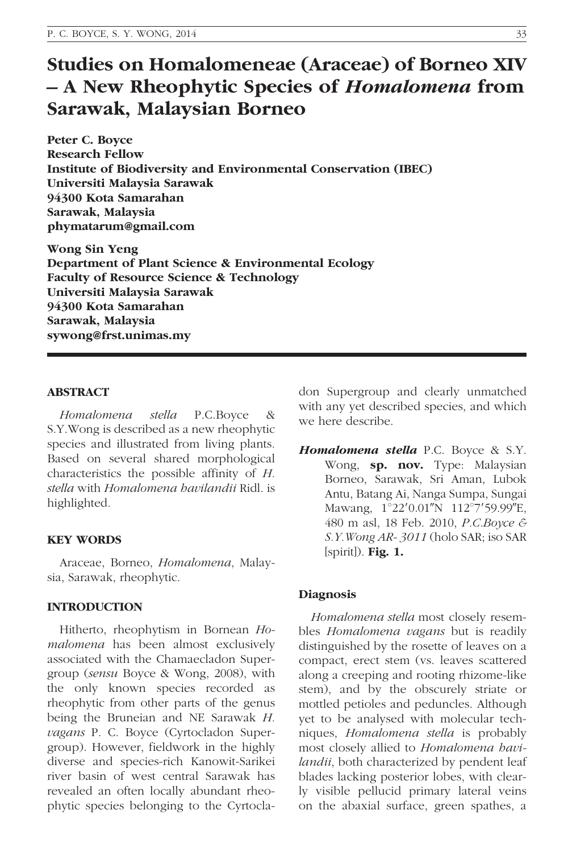# Studies on Homalomeneae (Araceae) of Borneo XIV – A New Rheophytic Species of Homalomena from Sarawak, Malaysian Borneo

Peter C. Boyce Research Fellow Institute of Biodiversity and Environmental Conservation (IBEC) Universiti Malaysia Sarawak 94300 Kota Samarahan Sarawak, Malaysia phymatarum@gmail.com

Wong Sin Yeng Department of Plant Science & Environmental Ecology Faculty of Resource Science & Technology Universiti Malaysia Sarawak 94300 Kota Samarahan Sarawak, Malaysia sywong@frst.unimas.my

# ABSTRACT

Homalomena stella P.C.Boyce & S.Y.Wong is described as a new rheophytic species and illustrated from living plants. Based on several shared morphological characteristics the possible affinity of H. stella with Homalomena havilandii Ridl. is highlighted.

# KEY WORDS

Araceae, Borneo, Homalomena, Malaysia, Sarawak, rheophytic.

# INTRODUCTION

Hitherto, rheophytism in Bornean Homalomena has been almost exclusively associated with the Chamaecladon Supergroup (sensu Boyce & Wong, 2008), with the only known species recorded as rheophytic from other parts of the genus being the Bruneian and NE Sarawak H. vagans P. C. Boyce (Cyrtocladon Supergroup). However, fieldwork in the highly diverse and species-rich Kanowit-Sarikei river basin of west central Sarawak has revealed an often locally abundant rheophytic species belonging to the Cyrtocladon Supergroup and clearly unmatched with any yet described species, and which we here describe.

Homalomena stella P.C. Boyce & S.Y. Wong, sp. nov. Type: Malaysian Borneo, Sarawak, Sri Aman, Lubok Antu, Batang Ai, Nanga Sumpa, Sungai Mawang, 1°22'0.01"N 112°7'59.99"E, 480 m asl, 18 Feb. 2010, P.C.Boyce & S.Y.Wong AR- 3011 (holo SAR; iso SAR  $[spirit]$ ). Fig. 1.

#### Diagnosis

Homalomena stella most closely resembles Homalomena vagans but is readily distinguished by the rosette of leaves on a compact, erect stem (vs. leaves scattered along a creeping and rooting rhizome-like stem), and by the obscurely striate or mottled petioles and peduncles. Although yet to be analysed with molecular techniques, Homalomena stella is probably most closely allied to Homalomena havilandii, both characterized by pendent leaf blades lacking posterior lobes, with clearly visible pellucid primary lateral veins on the abaxial surface, green spathes, a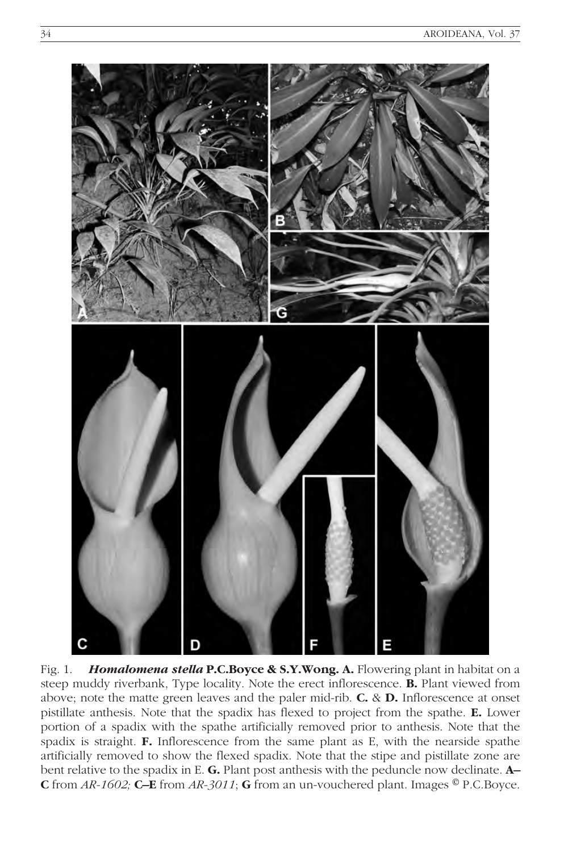

Fig. 1. **Homalomena stella P.C.Boyce & S.Y.Wong. A.** Flowering plant in habitat on a steep muddy riverbank, Type locality. Note the erect inflorescence. B. Plant viewed from above; note the matte green leaves and the paler mid-rib. C. & D. Inflorescence at onset pistillate anthesis. Note that the spadix has flexed to project from the spathe. E. Lower portion of a spadix with the spathe artificially removed prior to anthesis. Note that the spadix is straight. F. Inflorescence from the same plant as E, with the nearside spathe artificially removed to show the flexed spadix. Note that the stipe and pistillate zone are bent relative to the spadix in E. G. Plant post anthesis with the peduncle now declinate. A– C from  $AR-1602$ ; C-E from  $AR-3011$ ; G from an un-vouchered plant. Images  $^{\circledR}$  P.C.Boyce.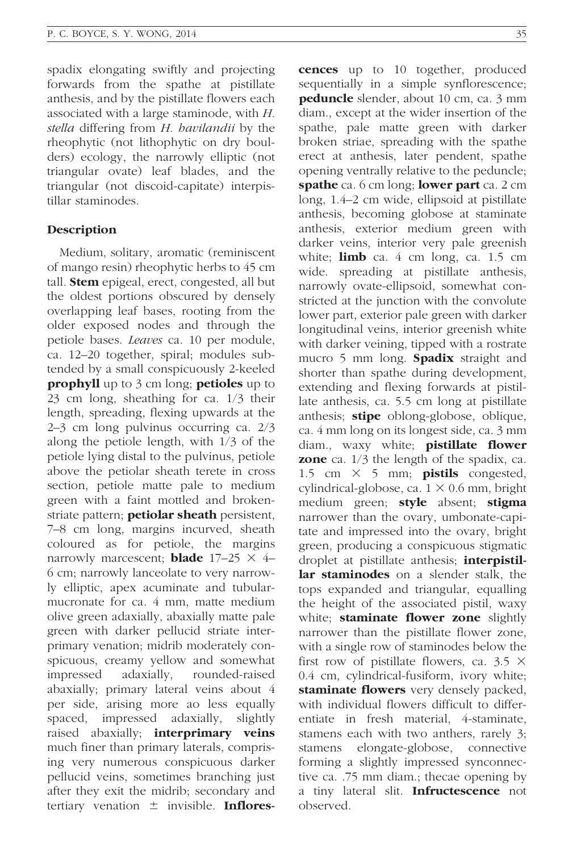spadix elongating swiftly and projecting forwards from the spathe at pistillate anthesis, and by the pistillate flowers each associated with a large staminode, with H. stella differing from H. havilandii by the rheophytic (not lithophytic on dry boulders) ecology, the narrowly elliptic (not triangular ovate) leaf blades, and the triangular (not discoid-capitate) interpistillar staminodes.

## Description

Medium, solitary, aromatic (reminiscent of mango resin) rheophytic herbs to 45 cm tall. **Stem** epigeal, erect, congested, all but the oldest portions obscured by densely overlapping leaf bases, rooting from the older exposed nodes and through the petiole bases. Leaves ca. 10 per module, ca. 12–20 together, spiral; modules subtended by a small conspicuously 2-keeled **prophyll** up to 3 cm long; **petioles** up to 23 cm long, sheathing for ca. 1/3 their length, spreading, flexing upwards at the 2–3 cm long pulvinus occurring ca. 2/3 along the petiole length, with 1/3 of the petiole lying distal to the pulvinus, petiole above the petiolar sheath terete in cross section, petiole matte pale to medium green with a faint mottled and brokenstriate pattern; **petiolar sheath** persistent, 7–8 cm long, margins incurved, sheath coloured as for petiole, the margins narrowly marcescent; **blade**  $17-25 \times 4$ 6 cm; narrowly lanceolate to very narrowly elliptic, apex acuminate and tubularmucronate for ca. 4 mm, matte medium olive green adaxially, abaxially matte pale green with darker pellucid striate interprimary venation; midrib moderately conspicuous, creamy yellow and somewhat impressed adaxially, rounded-raised abaxially; primary lateral veins about 4 per side, arising more ao less equally spaced, impressed adaxially, slightly raised abaxially; **interprimary veins** much finer than primary laterals, comprising very numerous conspicuous darker pellucid veins, sometimes branching just after they exit the midrib; secondary and tertiary venation  $\pm$  invisible. Inflorescences up to 10 together, produced sequentially in a simple synflorescence; peduncle slender, about 10 cm, ca. 3 mm diam., except at the wider insertion of the spathe, pale matte green with darker broken striae, spreading with the spathe erect at anthesis, later pendent, spathe opening ventrally relative to the peduncle; spathe ca. 6 cm long; lower part ca. 2 cm long, 1.4–2 cm wide, ellipsoid at pistillate anthesis, becoming globose at staminate anthesis, exterior medium green with darker veins, interior very pale greenish white;  $\lim b$  ca. 4 cm long, ca. 1.5 cm wide. spreading at pistillate anthesis, narrowly ovate-ellipsoid, somewhat constricted at the junction with the convolute lower part, exterior pale green with darker longitudinal veins, interior greenish white with darker veining, tipped with a rostrate mucro 5 mm long. Spadix straight and shorter than spathe during development, extending and flexing forwards at pistillate anthesis, ca. 5.5 cm long at pistillate anthesis; **stipe** oblong-globose, oblique, ca. 4 mm long on its longest side, ca. 3 mm diam., waxy white; **pistillate flower zone** ca.  $1/3$  the length of the spadix, ca. 1.5 cm  $\times$  5 mm; **pistils** congested, cylindrical-globose, ca.  $1 \times 0.6$  mm, bright medium green; style absent; stigma narrower than the ovary, umbonate-capitate and impressed into the ovary, bright green, producing a conspicuous stigmatic droplet at pistillate anthesis; **interpistil**lar staminodes on a slender stalk, the tops expanded and triangular, equalling the height of the associated pistil, waxy white; **staminate flower zone** slightly narrower than the pistillate flower zone, with a single row of staminodes below the first row of pistillate flowers, ca.  $3.5 \times$ 0.4 cm, cylindrical-fusiform, ivory white; staminate flowers very densely packed, with individual flowers difficult to differentiate in fresh material, 4-staminate, stamens each with two anthers, rarely 3; stamens elongate-globose, connective forming a slightly impressed synconnective ca. .75 mm diam.; thecae opening by a tiny lateral slit. **Infructescence** not observed.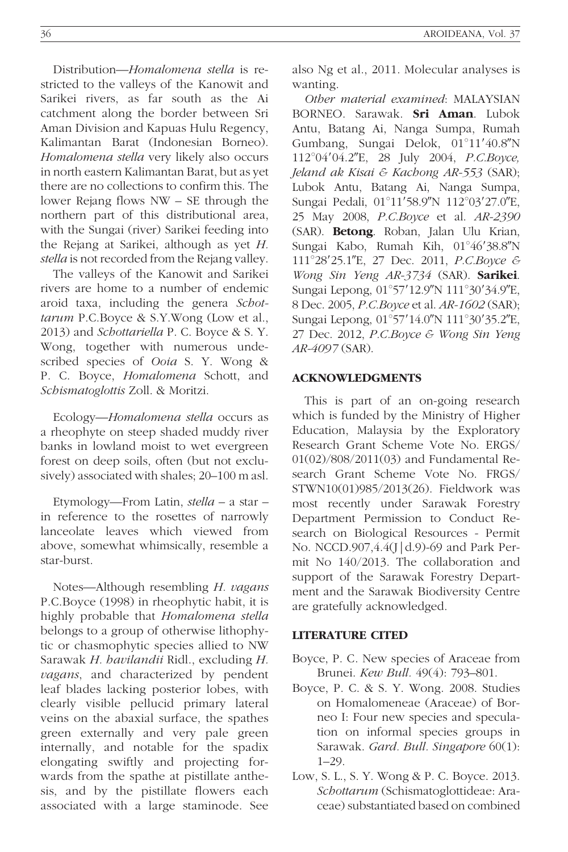Distribution—Homalomena stella is restricted to the valleys of the Kanowit and Sarikei rivers, as far south as the Ai catchment along the border between Sri Aman Division and Kapuas Hulu Regency, Kalimantan Barat (Indonesian Borneo). Homalomena stella very likely also occurs in north eastern Kalimantan Barat, but as yet there are no collections to confirm this. The lower Rejang flows NW – SE through the northern part of this distributional area, with the Sungai (river) Sarikei feeding into the Rejang at Sarikei, although as yet H. stella is not recorded from the Rejang valley.

The valleys of the Kanowit and Sarikei rivers are home to a number of endemic aroid taxa, including the genera Schottarum P.C.Boyce & S.Y.Wong (Low et al., 2013) and Schottariella P. C. Boyce & S. Y. Wong, together with numerous undescribed species of Ooia S. Y. Wong & P. C. Boyce, Homalomena Schott, and Schismatoglottis Zoll. & Moritzi.

Ecology—Homalomena stella occurs as a rheophyte on steep shaded muddy river banks in lowland moist to wet evergreen forest on deep soils, often (but not exclusively) associated with shales; 20–100 m asl.

Etymology—From Latin, stella – a star – in reference to the rosettes of narrowly lanceolate leaves which viewed from above, somewhat whimsically, resemble a star-burst.

Notes—Although resembling H. vagans P.C.Boyce (1998) in rheophytic habit, it is highly probable that Homalomena stella belongs to a group of otherwise lithophytic or chasmophytic species allied to NW Sarawak H. havilandii Ridl., excluding H. vagans, and characterized by pendent leaf blades lacking posterior lobes, with clearly visible pellucid primary lateral veins on the abaxial surface, the spathes green externally and very pale green internally, and notable for the spadix elongating swiftly and projecting forwards from the spathe at pistillate anthesis, and by the pistillate flowers each associated with a large staminode. See

also Ng et al., 2011. Molecular analyses is wanting.

Other material examined: MALAYSIAN BORNEO. Sarawak. Sri Aman. Lubok Antu, Batang Ai, Nanga Sumpa, Rumah Gumbang, Sungai Delok, 01°11'40.8"N 112°04'04.2"E, 28 July 2004, P.C.Boyce, Jeland ak Kisai & Kachong AR-553 (SAR); Lubok Antu, Batang Ai, Nanga Sumpa, Sungai Pedali, 01°11'58.9"N 112°03'27.0"E, 25 May 2008, P.C.Boyce et al. AR-2390 (SAR). Betong. Roban, Jalan Ulu Krian, Sungai Kabo, Rumah Kih, 01°46'38.8"N 111°28'25.1"E, 27 Dec. 2011, P.C.Boyce & Wong Sin Yeng AR-3734 (SAR). Sarikei. Sungai Lepong, 01°57'12.9"N 111°30'34.9"E, 8 Dec. 2005, P.C.Boyce et al. AR-1602 (SAR); Sungai Lepong, 01°57'14.0"N 111°30'35.2"E, 27 Dec. 2012, P.C.Boyce & Wong Sin Yeng AR-4097 (SAR).

## ACKNOWLEDGMENTS

This is part of an on-going research which is funded by the Ministry of Higher Education, Malaysia by the Exploratory Research Grant Scheme Vote No. ERGS/ 01(02)/808/2011(03) and Fundamental Research Grant Scheme Vote No. FRGS/ STWN10(01)985/2013(26). Fieldwork was most recently under Sarawak Forestry Department Permission to Conduct Research on Biological Resources - Permit No. NCCD.907,4.4(J|d.9)-69 and Park Permit No 140/2013. The collaboration and support of the Sarawak Forestry Department and the Sarawak Biodiversity Centre are gratefully acknowledged.

### LITERATURE CITED

- Boyce, P. C. New species of Araceae from Brunei. Kew Bull. 49(4): 793–801.
- Boyce, P. C. & S. Y. Wong. 2008. Studies on Homalomeneae (Araceae) of Borneo I: Four new species and speculation on informal species groups in Sarawak. Gard. Bull. Singapore 60(1): 1–29.
- Low, S. L., S. Y. Wong & P. C. Boyce. 2013. Schottarum (Schismatoglottideae: Araceae) substantiated based on combined